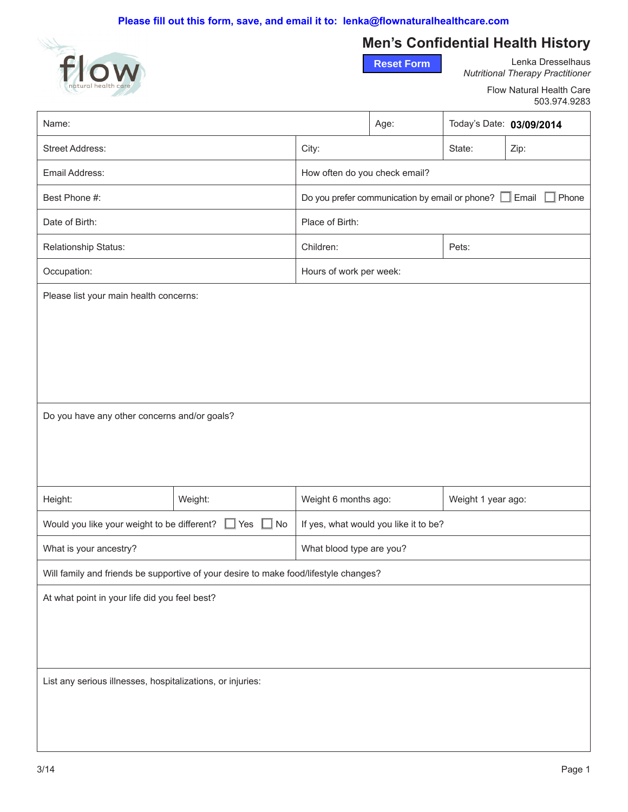

# **Men's Confidential Health History**

**Reset Form**

Lenka Dresselhaus *Nutritional Therapy Practitioner*

> Flow Natural Health Care 503.974.9283

| Name:                                                                                |         |                                                                             | Age: | Today's Date: 03/09/2014 |      |  |
|--------------------------------------------------------------------------------------|---------|-----------------------------------------------------------------------------|------|--------------------------|------|--|
| Street Address:                                                                      |         | City:                                                                       |      | State:                   | Zip: |  |
| Email Address:                                                                       |         | How often do you check email?                                               |      |                          |      |  |
| Best Phone #:                                                                        |         | Do you prefer communication by email or phone? $\Box$ Email $\Box$<br>Phone |      |                          |      |  |
| Date of Birth:                                                                       |         | Place of Birth:                                                             |      |                          |      |  |
| Relationship Status:                                                                 |         | Children:<br>Pets:                                                          |      |                          |      |  |
| Occupation:                                                                          |         | Hours of work per week:                                                     |      |                          |      |  |
| Please list your main health concerns:                                               |         |                                                                             |      |                          |      |  |
| Do you have any other concerns and/or goals?                                         |         |                                                                             |      |                          |      |  |
| Height:                                                                              | Weight: | Weight 6 months ago:                                                        |      | Weight 1 year ago:       |      |  |
| Would you like your weight to be different?<br>No<br>Yes                             |         | If yes, what would you like it to be?                                       |      |                          |      |  |
| What is your ancestry?                                                               |         | What blood type are you?                                                    |      |                          |      |  |
| Will family and friends be supportive of your desire to make food/lifestyle changes? |         |                                                                             |      |                          |      |  |
| At what point in your life did you feel best?                                        |         |                                                                             |      |                          |      |  |
| List any serious illnesses, hospitalizations, or injuries:                           |         |                                                                             |      |                          |      |  |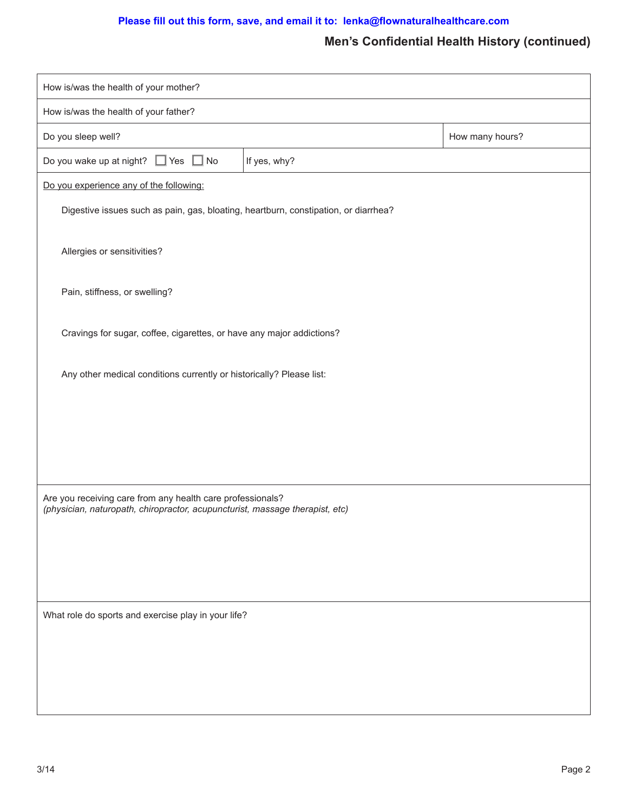#### **Please fill out this form, save, and email it to: lenka@flownaturalhealthcare.com**

## **Men's Confidential Health History (continued)**

| How is/was the health of your mother?                                                                                                      |              |                 |  |  |  |
|--------------------------------------------------------------------------------------------------------------------------------------------|--------------|-----------------|--|--|--|
| How is/was the health of your father?                                                                                                      |              |                 |  |  |  |
| Do you sleep well?                                                                                                                         |              | How many hours? |  |  |  |
| Do you wake up at night? $\Box$ Yes $\Box$ No                                                                                              | If yes, why? |                 |  |  |  |
| Do you experience any of the following:                                                                                                    |              |                 |  |  |  |
| Digestive issues such as pain, gas, bloating, heartburn, constipation, or diarrhea?                                                        |              |                 |  |  |  |
| Allergies or sensitivities?                                                                                                                |              |                 |  |  |  |
| Pain, stiffness, or swelling?                                                                                                              |              |                 |  |  |  |
| Cravings for sugar, coffee, cigarettes, or have any major addictions?                                                                      |              |                 |  |  |  |
| Any other medical conditions currently or historically? Please list:                                                                       |              |                 |  |  |  |
|                                                                                                                                            |              |                 |  |  |  |
|                                                                                                                                            |              |                 |  |  |  |
|                                                                                                                                            |              |                 |  |  |  |
|                                                                                                                                            |              |                 |  |  |  |
| Are you receiving care from any health care professionals?<br>(physician, naturopath, chiropractor, acupuncturist, massage therapist, etc) |              |                 |  |  |  |
|                                                                                                                                            |              |                 |  |  |  |
|                                                                                                                                            |              |                 |  |  |  |
|                                                                                                                                            |              |                 |  |  |  |
| What role do sports and exercise play in your life?                                                                                        |              |                 |  |  |  |
|                                                                                                                                            |              |                 |  |  |  |
|                                                                                                                                            |              |                 |  |  |  |
|                                                                                                                                            |              |                 |  |  |  |
|                                                                                                                                            |              |                 |  |  |  |